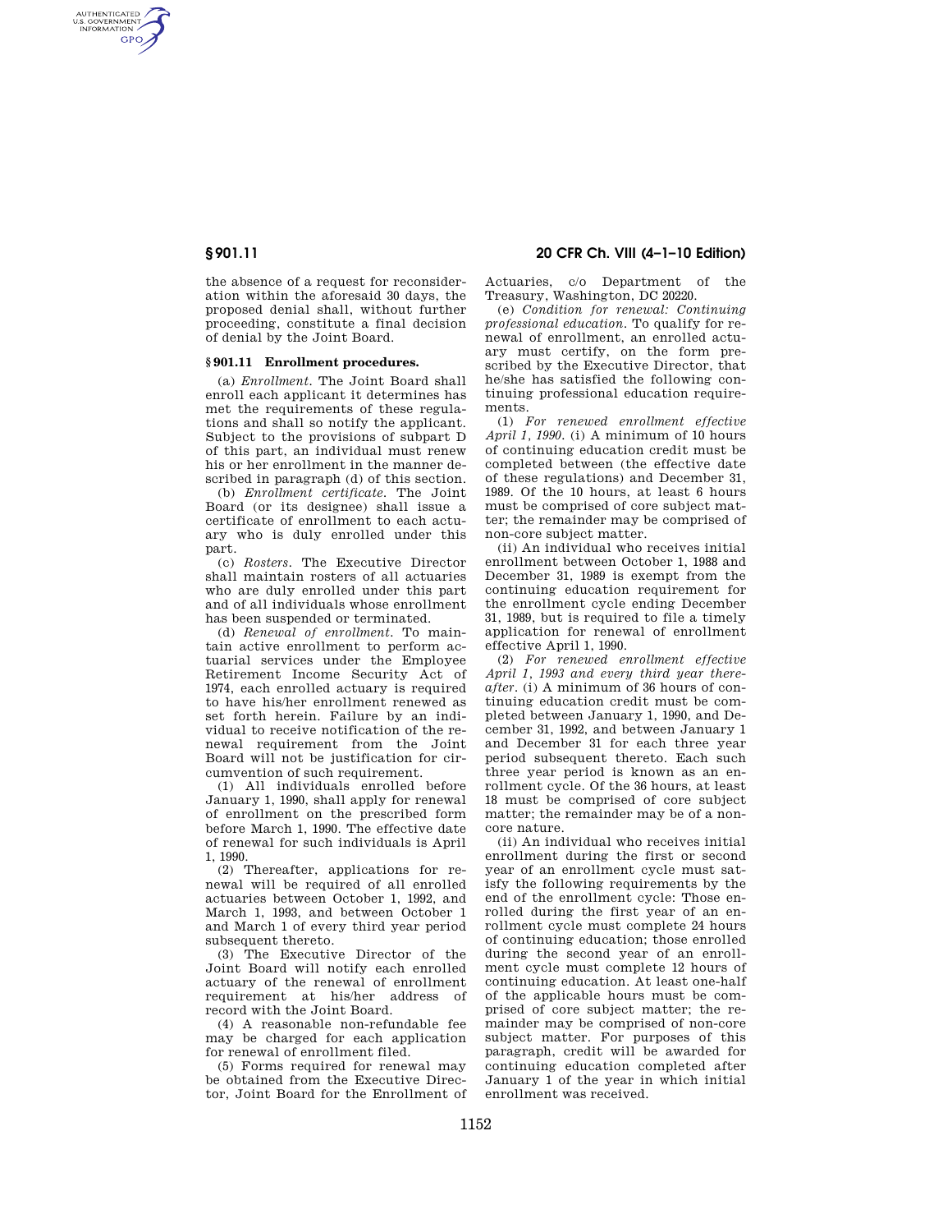AUTHENTICATED<br>U.S. GOVERNMENT<br>INFORMATION **GPO** 

> the absence of a request for reconsideration within the aforesaid 30 days, the proposed denial shall, without further proceeding, constitute a final decision of denial by the Joint Board.

### **§ 901.11 Enrollment procedures.**

(a) *Enrollment.* The Joint Board shall enroll each applicant it determines has met the requirements of these regulations and shall so notify the applicant. Subject to the provisions of subpart D of this part, an individual must renew his or her enrollment in the manner described in paragraph (d) of this section.

(b) *Enrollment certificate.* The Joint Board (or its designee) shall issue a certificate of enrollment to each actuary who is duly enrolled under this part.

(c) *Rosters.* The Executive Director shall maintain rosters of all actuaries who are duly enrolled under this part and of all individuals whose enrollment has been suspended or terminated.

(d) *Renewal of enrollment.* To maintain active enrollment to perform actuarial services under the Employee Retirement Income Security Act of 1974, each enrolled actuary is required to have his/her enrollment renewed as set forth herein. Failure by an individual to receive notification of the renewal requirement from the Joint Board will not be justification for circumvention of such requirement.

(1) All individuals enrolled before January 1, 1990, shall apply for renewal of enrollment on the prescribed form before March 1, 1990. The effective date of renewal for such individuals is April 1, 1990.

(2) Thereafter, applications for renewal will be required of all enrolled actuaries between October 1, 1992, and March 1, 1993, and between October 1 and March 1 of every third year period subsequent thereto.

(3) The Executive Director of the Joint Board will notify each enrolled actuary of the renewal of enrollment requirement at his/her address of record with the Joint Board.

(4) A reasonable non-refundable fee may be charged for each application for renewal of enrollment filed.

(5) Forms required for renewal may be obtained from the Executive Director, Joint Board for the Enrollment of

**§ 901.11 20 CFR Ch. VIII (4–1–10 Edition)** 

Actuaries, c/o Department of the Treasury, Washington, DC 20220.

(e) *Condition for renewal: Continuing professional education.* To qualify for renewal of enrollment, an enrolled actuary must certify, on the form prescribed by the Executive Director, that he/she has satisfied the following continuing professional education requirements.

(1) *For renewed enrollment effective April 1, 1990.* (i) A minimum of 10 hours of continuing education credit must be completed between (the effective date of these regulations) and December 31, 1989. Of the 10 hours, at least 6 hours must be comprised of core subject matter; the remainder may be comprised of non-core subject matter.

(ii) An individual who receives initial enrollment between October 1, 1988 and December 31, 1989 is exempt from the continuing education requirement for the enrollment cycle ending December 31, 1989, but is required to file a timely application for renewal of enrollment effective April 1, 1990.

(2) *For renewed enrollment effective April 1, 1993 and every third year thereafter.* (i) A minimum of 36 hours of continuing education credit must be completed between January 1, 1990, and December 31, 1992, and between January 1 and December 31 for each three year period subsequent thereto. Each such three year period is known as an enrollment cycle. Of the 36 hours, at least 18 must be comprised of core subject matter; the remainder may be of a noncore nature.

(ii) An individual who receives initial enrollment during the first or second year of an enrollment cycle must satisfy the following requirements by the end of the enrollment cycle: Those enrolled during the first year of an enrollment cycle must complete 24 hours of continuing education; those enrolled during the second year of an enrollment cycle must complete 12 hours of continuing education. At least one-half of the applicable hours must be comprised of core subject matter; the remainder may be comprised of non-core subject matter. For purposes of this paragraph, credit will be awarded for continuing education completed after January 1 of the year in which initial enrollment was received.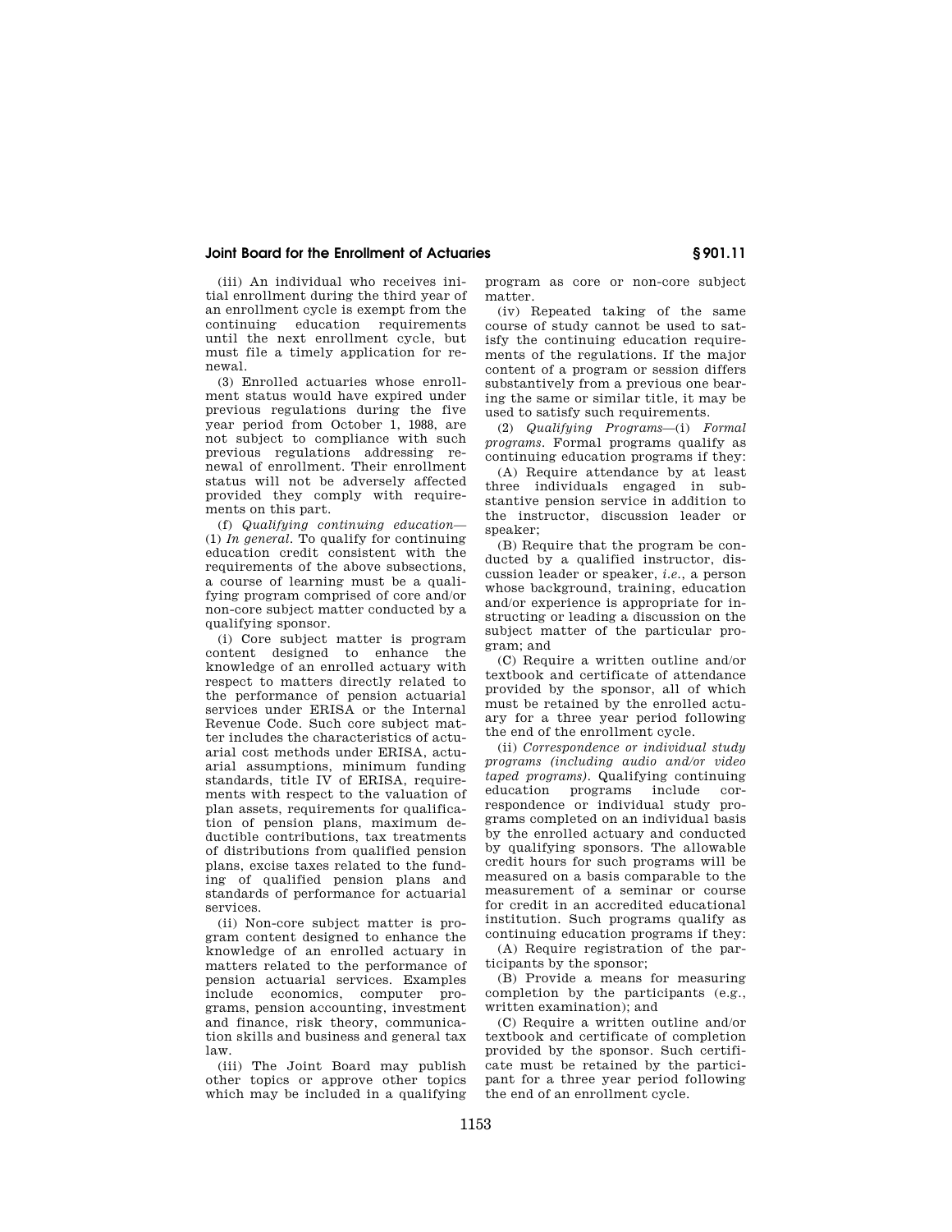# **Joint Board for the Enrollment of Actuaries § 901.11**

(iii) An individual who receives initial enrollment during the third year of an enrollment cycle is exempt from the continuing education requirements until the next enrollment cycle, but must file a timely application for renewal.

(3) Enrolled actuaries whose enrollment status would have expired under previous regulations during the five year period from October 1, 1988, are not subject to compliance with such previous regulations addressing renewal of enrollment. Their enrollment status will not be adversely affected provided they comply with requirements on this part.

(f) *Qualifying continuing education*— (1) *In general.* To qualify for continuing education credit consistent with the requirements of the above subsections, a course of learning must be a qualifying program comprised of core and/or non-core subject matter conducted by a qualifying sponsor.

(i) Core subject matter is program content designed to enhance the knowledge of an enrolled actuary with respect to matters directly related to the performance of pension actuarial services under ERISA or the Internal Revenue Code. Such core subject matter includes the characteristics of actuarial cost methods under ERISA, actuarial assumptions, minimum funding standards, title IV of ERISA, requirements with respect to the valuation of plan assets, requirements for qualification of pension plans, maximum deductible contributions, tax treatments of distributions from qualified pension plans, excise taxes related to the funding of qualified pension plans and standards of performance for actuarial services.

(ii) Non-core subject matter is program content designed to enhance the knowledge of an enrolled actuary in matters related to the performance of pension actuarial services. Examples include economics, computer programs, pension accounting, investment and finance, risk theory, communication skills and business and general tax law.

(iii) The Joint Board may publish other topics or approve other topics which may be included in a qualifying program as core or non-core subject matter.

(iv) Repeated taking of the same course of study cannot be used to satisfy the continuing education requirements of the regulations. If the major content of a program or session differs substantively from a previous one bearing the same or similar title, it may be used to satisfy such requirements.

(2) *Qualifying Programs*—(i) *Formal programs.* Formal programs qualify as continuing education programs if they:

(A) Require attendance by at least three individuals engaged in substantive pension service in addition to the instructor, discussion leader or speaker;

(B) Require that the program be conducted by a qualified instructor, discussion leader or speaker, *i.e.*, a person whose background, training, education and/or experience is appropriate for instructing or leading a discussion on the subject matter of the particular program; and

(C) Require a written outline and/or textbook and certificate of attendance provided by the sponsor, all of which must be retained by the enrolled actuary for a three year period following the end of the enrollment cycle.

(ii) *Correspondence or individual study programs (including audio and/or video taped programs).* Qualifying continuing education programs include correspondence or individual study programs completed on an individual basis by the enrolled actuary and conducted by qualifying sponsors. The allowable credit hours for such programs will be measured on a basis comparable to the measurement of a seminar or course for credit in an accredited educational institution. Such programs qualify as continuing education programs if they:

(A) Require registration of the participants by the sponsor;

(B) Provide a means for measuring completion by the participants (e.g., written examination); and

(C) Require a written outline and/or textbook and certificate of completion provided by the sponsor. Such certificate must be retained by the participant for a three year period following the end of an enrollment cycle.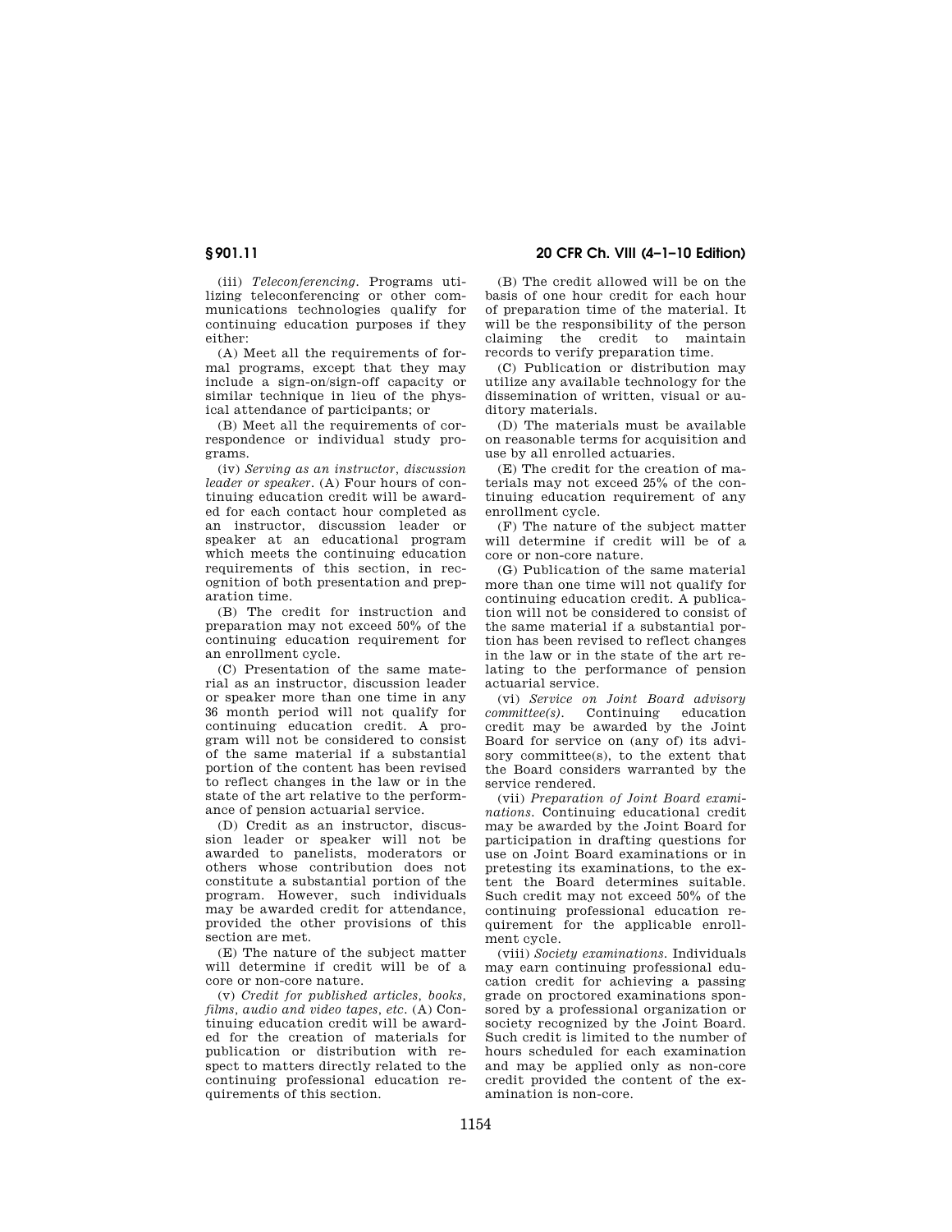# **§ 901.11 20 CFR Ch. VIII (4–1–10 Edition)**

(iii) *Teleconferencing.* Programs utilizing teleconferencing or other communications technologies qualify for continuing education purposes if they either:

(A) Meet all the requirements of formal programs, except that they may include a sign-on/sign-off capacity or similar technique in lieu of the physical attendance of participants; or

(B) Meet all the requirements of correspondence or individual study programs.

(iv) *Serving as an instructor, discussion leader or speaker.* (A) Four hours of continuing education credit will be awarded for each contact hour completed as an instructor, discussion leader or speaker at an educational program which meets the continuing education requirements of this section, in recognition of both presentation and preparation time.

(B) The credit for instruction and preparation may not exceed 50% of the continuing education requirement for an enrollment cycle.

(C) Presentation of the same material as an instructor, discussion leader or speaker more than one time in any 36 month period will not qualify for continuing education credit. A program will not be considered to consist of the same material if a substantial portion of the content has been revised to reflect changes in the law or in the state of the art relative to the performance of pension actuarial service.

(D) Credit as an instructor, discussion leader or speaker will not be awarded to panelists, moderators or others whose contribution does not constitute a substantial portion of the program. However, such individuals may be awarded credit for attendance, provided the other provisions of this section are met.

(E) The nature of the subject matter will determine if credit will be of a core or non-core nature.

(v) *Credit for published articles, books, films, audio and video tapes, etc.* (A) Continuing education credit will be awarded for the creation of materials for publication or distribution with respect to matters directly related to the continuing professional education requirements of this section.

(B) The credit allowed will be on the basis of one hour credit for each hour of preparation time of the material. It will be the responsibility of the person claiming the credit to maintain records to verify preparation time.

(C) Publication or distribution may utilize any available technology for the dissemination of written, visual or auditory materials.

(D) The materials must be available on reasonable terms for acquisition and use by all enrolled actuaries.

(E) The credit for the creation of materials may not exceed 25% of the continuing education requirement of any enrollment cycle.

(F) The nature of the subject matter will determine if credit will be of a core or non-core nature.

(G) Publication of the same material more than one time will not qualify for continuing education credit. A publication will not be considered to consist of the same material if a substantial portion has been revised to reflect changes in the law or in the state of the art relating to the performance of pension actuarial service.

(vi) *Service on Joint Board advisory committee(s).* Continuing education credit may be awarded by the Joint Board for service on (any of) its advisory committee(s), to the extent that the Board considers warranted by the service rendered.

(vii) *Preparation of Joint Board examinations.* Continuing educational credit may be awarded by the Joint Board for participation in drafting questions for use on Joint Board examinations or in pretesting its examinations, to the extent the Board determines suitable. Such credit may not exceed 50% of the continuing professional education requirement for the applicable enrollment cycle.

(viii) *Society examinations.* Individuals may earn continuing professional education credit for achieving a passing grade on proctored examinations sponsored by a professional organization or society recognized by the Joint Board. Such credit is limited to the number of hours scheduled for each examination and may be applied only as non-core credit provided the content of the examination is non-core.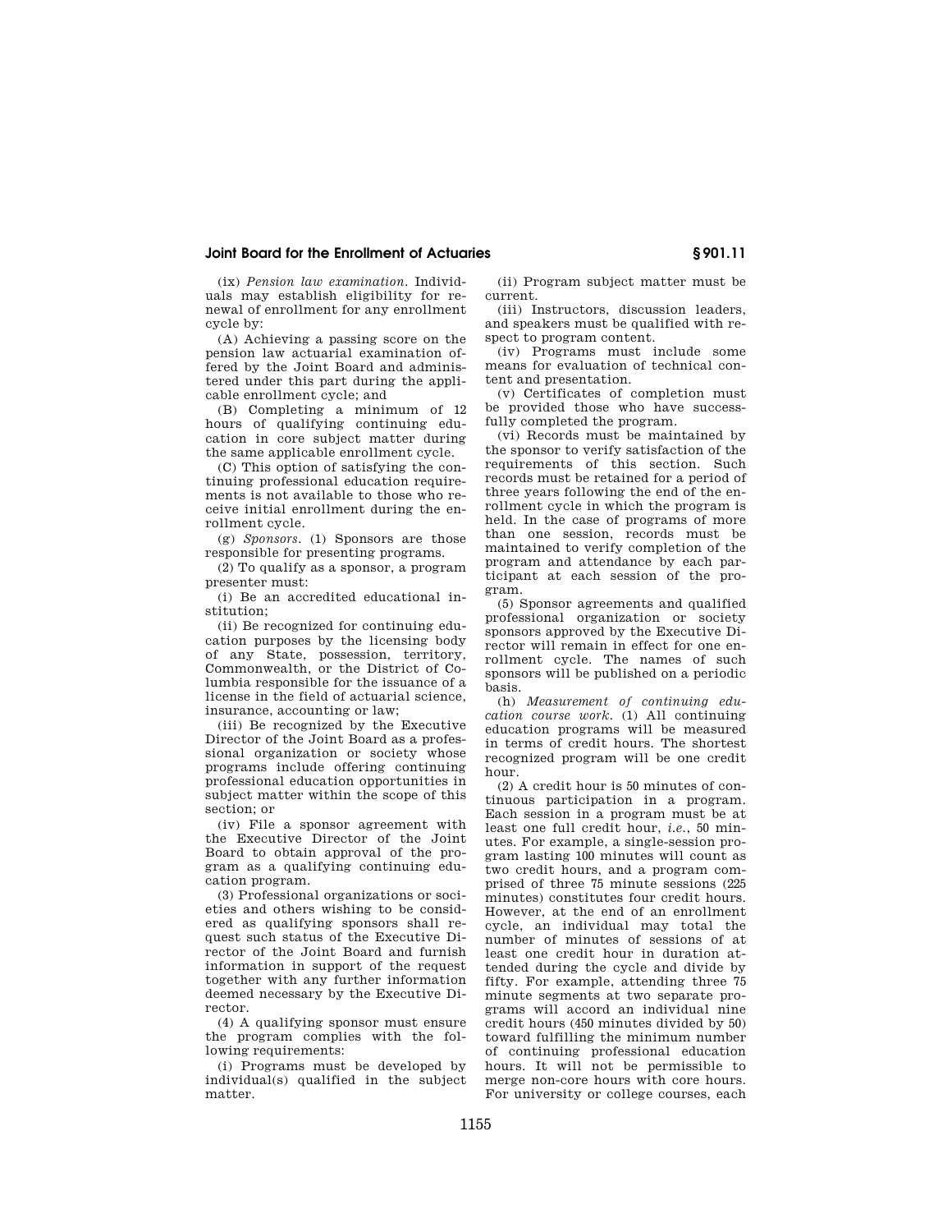## **Joint Board for the Enrollment of Actuaries § 901.11**

(ix) *Pension law examination.* Individuals may establish eligibility for renewal of enrollment for any enrollment cycle by:

(A) Achieving a passing score on the pension law actuarial examination offered by the Joint Board and administered under this part during the applicable enrollment cycle; and

(B) Completing a minimum of 12 hours of qualifying continuing education in core subject matter during the same applicable enrollment cycle.

(C) This option of satisfying the continuing professional education requirements is not available to those who receive initial enrollment during the enrollment cycle.

(g) *Sponsors.* (1) Sponsors are those responsible for presenting programs.

(2) To qualify as a sponsor, a program presenter must:

(i) Be an accredited educational institution;

(ii) Be recognized for continuing education purposes by the licensing body of any State, possession, territory, Commonwealth, or the District of Columbia responsible for the issuance of a license in the field of actuarial science, insurance, accounting or law;

(iii) Be recognized by the Executive Director of the Joint Board as a professional organization or society whose programs include offering continuing professional education opportunities in subject matter within the scope of this section; or

(iv) File a sponsor agreement with the Executive Director of the Joint Board to obtain approval of the program as a qualifying continuing education program.

(3) Professional organizations or societies and others wishing to be considered as qualifying sponsors shall request such status of the Executive Director of the Joint Board and furnish information in support of the request together with any further information deemed necessary by the Executive Director.

(4) A qualifying sponsor must ensure the program complies with the following requirements:

(i) Programs must be developed by individual(s) qualified in the subject matter.

(ii) Program subject matter must be current.

(iii) Instructors, discussion leaders, and speakers must be qualified with respect to program content.

(iv) Programs must include some means for evaluation of technical content and presentation.

(v) Certificates of completion must be provided those who have successfully completed the program.

(vi) Records must be maintained by the sponsor to verify satisfaction of the requirements of this section. Such records must be retained for a period of three years following the end of the enrollment cycle in which the program is held. In the case of programs of more than one session, records must be maintained to verify completion of the program and attendance by each participant at each session of the program.

(5) Sponsor agreements and qualified professional organization or society sponsors approved by the Executive Director will remain in effect for one enrollment cycle. The names of such sponsors will be published on a periodic basis.

(h) *Measurement of continuing education course work.* (1) All continuing education programs will be measured in terms of credit hours. The shortest recognized program will be one credit hour.

(2) A credit hour is 50 minutes of continuous participation in a program. Each session in a program must be at least one full credit hour, *i.e.*, 50 minutes. For example, a single-session program lasting 100 minutes will count as two credit hours, and a program comprised of three 75 minute sessions (225 minutes) constitutes four credit hours. However, at the end of an enrollment cycle, an individual may total the number of minutes of sessions of at least one credit hour in duration attended during the cycle and divide by fifty. For example, attending three 75 minute segments at two separate programs will accord an individual nine credit hours (450 minutes divided by 50) toward fulfilling the minimum number of continuing professional education hours. It will not be permissible to merge non-core hours with core hours. For university or college courses, each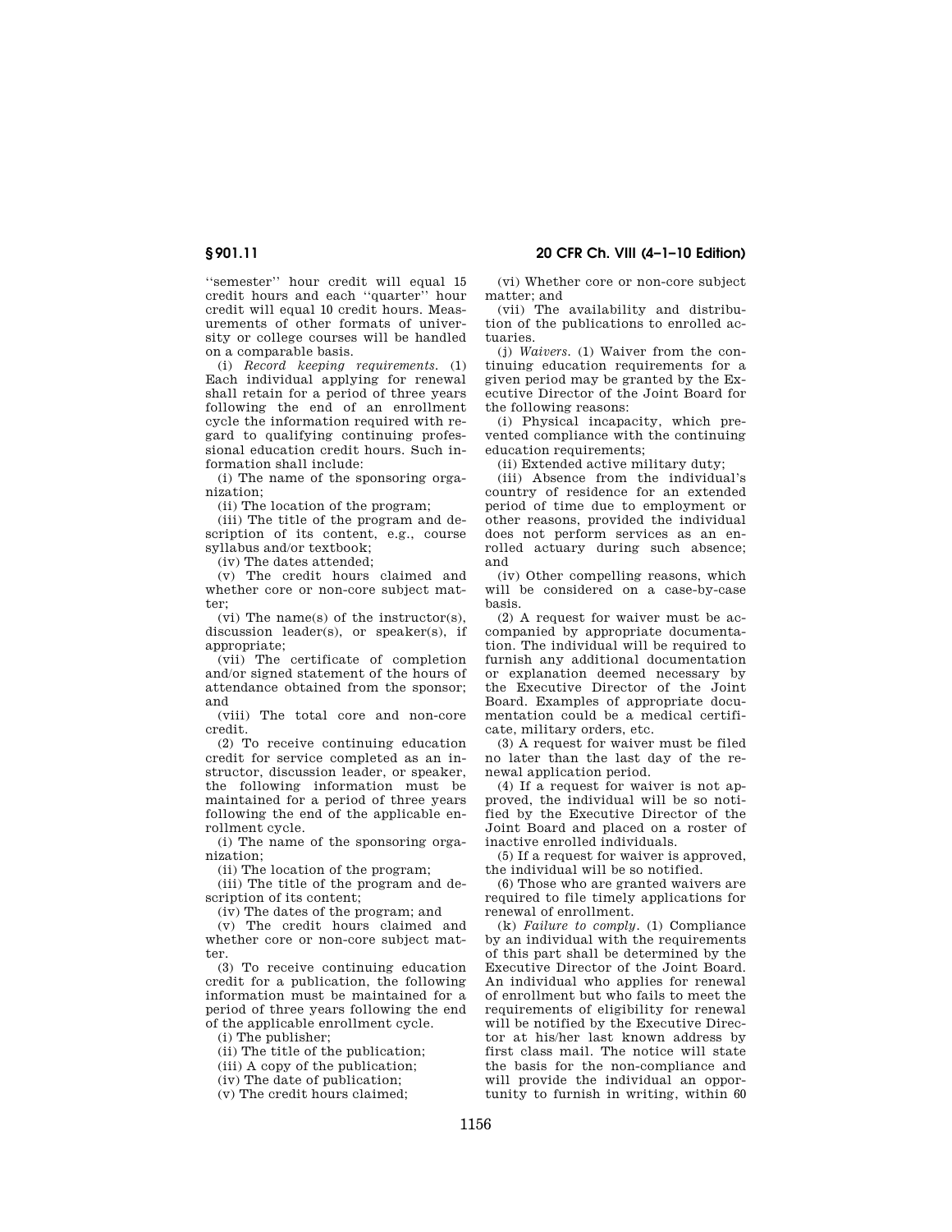''semester'' hour credit will equal 15 credit hours and each ''quarter'' hour credit will equal 10 credit hours. Measurements of other formats of university or college courses will be handled on a comparable basis.

(i) *Record keeping requirements.* (1) Each individual applying for renewal shall retain for a period of three years following the end of an enrollment cycle the information required with regard to qualifying continuing professional education credit hours. Such information shall include:

(i) The name of the sponsoring organization;

(ii) The location of the program;

(iii) The title of the program and description of its content, e.g., course syllabus and/or textbook;

(iv) The dates attended;

(v) The credit hours claimed and whether core or non-core subject matter;

(vi) The name(s) of the instructor(s), discussion leader(s), or speaker(s), if appropriate;

(vii) The certificate of completion and/or signed statement of the hours of attendance obtained from the sponsor; and

(viii) The total core and non-core credit.

(2) To receive continuing education credit for service completed as an instructor, discussion leader, or speaker, the following information must be maintained for a period of three years following the end of the applicable enrollment cycle.

(i) The name of the sponsoring organization;

(ii) The location of the program;

(iii) The title of the program and description of its content;

(iv) The dates of the program; and

(v) The credit hours claimed and whether core or non-core subject matter.

(3) To receive continuing education credit for a publication, the following information must be maintained for a period of three years following the end of the applicable enrollment cycle.

(i) The publisher;

(ii) The title of the publication;

(iii) A copy of the publication;

(iv) The date of publication;

(v) The credit hours claimed;

(vi) Whether core or non-core subject matter; and

(vii) The availability and distribution of the publications to enrolled actuaries.

(j) *Waivers.* (1) Waiver from the continuing education requirements for a given period may be granted by the Executive Director of the Joint Board for the following reasons:

(i) Physical incapacity, which prevented compliance with the continuing education requirements;

(ii) Extended active military duty;

(iii) Absence from the individual's country of residence for an extended period of time due to employment or other reasons, provided the individual does not perform services as an enrolled actuary during such absence; and

(iv) Other compelling reasons, which will be considered on a case-by-case basis.

(2) A request for waiver must be accompanied by appropriate documentation. The individual will be required to furnish any additional documentation or explanation deemed necessary by the Executive Director of the Joint Board. Examples of appropriate documentation could be a medical certificate, military orders, etc.

(3) A request for waiver must be filed no later than the last day of the renewal application period.

(4) If a request for waiver is not approved, the individual will be so notified by the Executive Director of the Joint Board and placed on a roster of inactive enrolled individuals.

(5) If a request for waiver is approved, the individual will be so notified.

(6) Those who are granted waivers are required to file timely applications for renewal of enrollment.

(k) *Failure to comply.* (1) Compliance by an individual with the requirements of this part shall be determined by the Executive Director of the Joint Board. An individual who applies for renewal of enrollment but who fails to meet the requirements of eligibility for renewal will be notified by the Executive Director at his/her last known address by first class mail. The notice will state the basis for the non-compliance and will provide the individual an opportunity to furnish in writing, within 60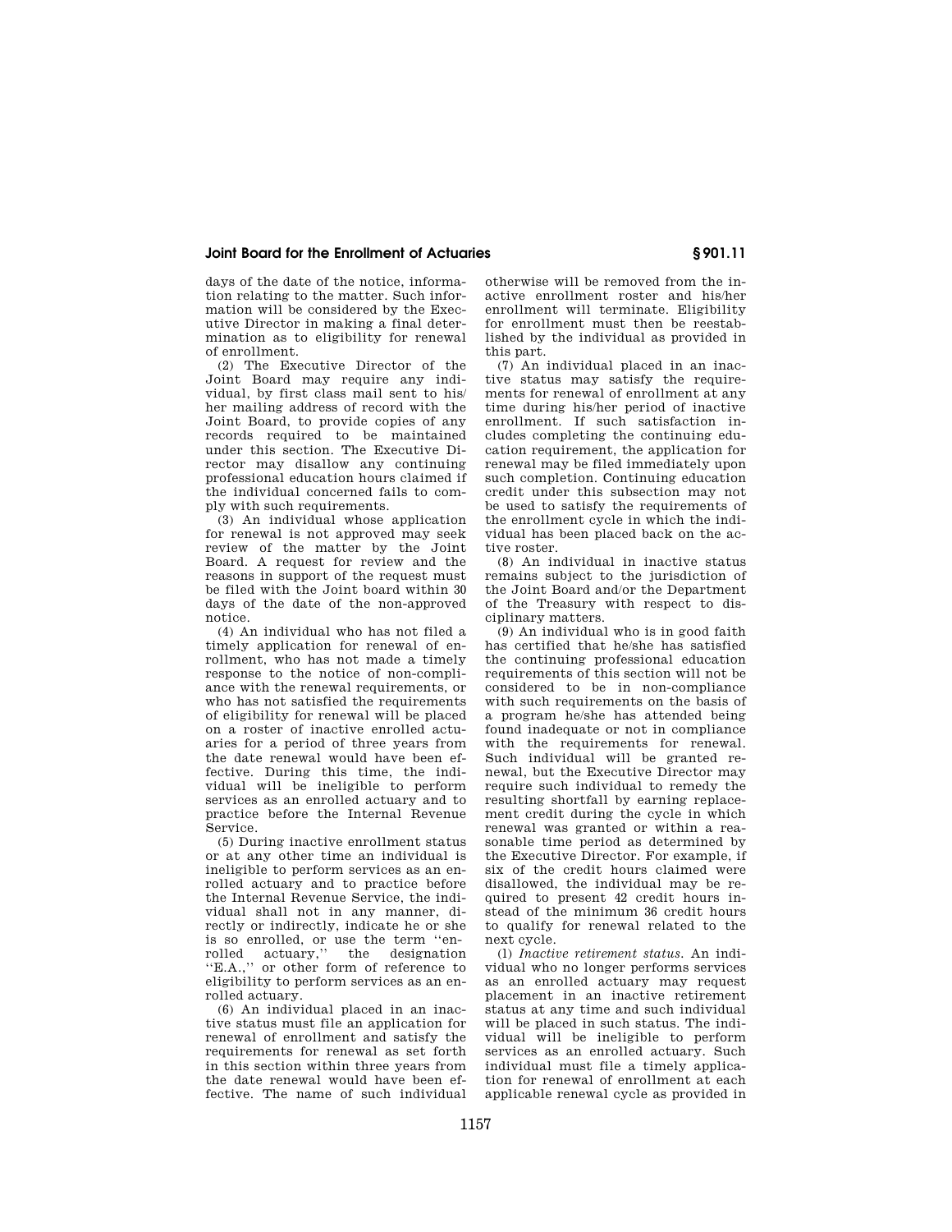# **Joint Board for the Enrollment of Actuaries § 901.11**

days of the date of the notice, information relating to the matter. Such information will be considered by the Executive Director in making a final determination as to eligibility for renewal of enrollment.

(2) The Executive Director of the Joint Board may require any individual, by first class mail sent to his/ her mailing address of record with the Joint Board, to provide copies of any records required to be maintained under this section. The Executive Director may disallow any continuing professional education hours claimed if the individual concerned fails to comply with such requirements.

(3) An individual whose application for renewal is not approved may seek review of the matter by the Joint Board. A request for review and the reasons in support of the request must be filed with the Joint board within 30 days of the date of the non-approved notice.

(4) An individual who has not filed a timely application for renewal of enrollment, who has not made a timely response to the notice of non-compliance with the renewal requirements, or who has not satisfied the requirements of eligibility for renewal will be placed on a roster of inactive enrolled actuaries for a period of three years from the date renewal would have been effective. During this time, the individual will be ineligible to perform services as an enrolled actuary and to practice before the Internal Revenue Service.

(5) During inactive enrollment status or at any other time an individual is ineligible to perform services as an enrolled actuary and to practice before the Internal Revenue Service, the individual shall not in any manner, directly or indirectly, indicate he or she is so enrolled, or use the term ''enrolled actuary,'' the designation ''E.A.,'' or other form of reference to eligibility to perform services as an enrolled actuary.

(6) An individual placed in an inactive status must file an application for renewal of enrollment and satisfy the requirements for renewal as set forth in this section within three years from the date renewal would have been effective. The name of such individual otherwise will be removed from the inactive enrollment roster and his/her enrollment will terminate. Eligibility for enrollment must then be reestablished by the individual as provided in this part.

(7) An individual placed in an inactive status may satisfy the requirements for renewal of enrollment at any time during his/her period of inactive enrollment. If such satisfaction includes completing the continuing education requirement, the application for renewal may be filed immediately upon such completion. Continuing education credit under this subsection may not be used to satisfy the requirements of the enrollment cycle in which the individual has been placed back on the active roster.

(8) An individual in inactive status remains subject to the jurisdiction of the Joint Board and/or the Department of the Treasury with respect to disciplinary matters.

(9) An individual who is in good faith has certified that he/she has satisfied the continuing professional education requirements of this section will not be considered to be in non-compliance with such requirements on the basis of a program he/she has attended being found inadequate or not in compliance with the requirements for renewal. Such individual will be granted renewal, but the Executive Director may require such individual to remedy the resulting shortfall by earning replacement credit during the cycle in which renewal was granted or within a reasonable time period as determined by the Executive Director. For example, if six of the credit hours claimed were disallowed, the individual may be required to present 42 credit hours instead of the minimum 36 credit hours to qualify for renewal related to the next cycle.

(l) *Inactive retirement status.* An individual who no longer performs services as an enrolled actuary may request placement in an inactive retirement status at any time and such individual will be placed in such status. The individual will be ineligible to perform services as an enrolled actuary. Such individual must file a timely application for renewal of enrollment at each applicable renewal cycle as provided in